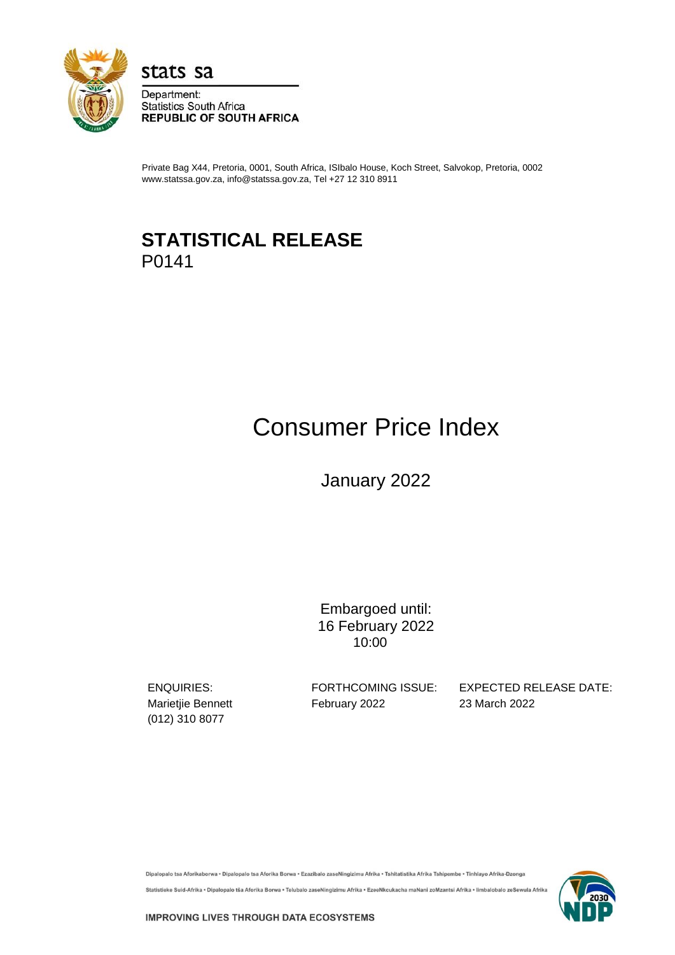

stats sa

Department: **Statistics South Africa REPUBLIC OF SOUTH AFRICA** 

Private Bag X44, Pretoria, 0001, South Africa, ISIbalo House, Koch Street, Salvokop, Pretoria, 0002 www.statssa.gov.za, info@statssa.gov.za, Tel +27 12 310 8911

## **STATISTICAL RELEASE** P0141

# Consumer Price Index

January 2022

Embargoed until: 16 February 2022 10:00

(012) 310 8077

Marietjie Bennett February 2022 23 March 2022

ENQUIRIES: FORTHCOMING ISSUE: EXPECTED RELEASE DATE:

Dipalopalo tsa Aforikaborwa • Dipalopalo tsa Aforika Borwa • Ezazibalo zaseNingizimu Afrika • Tshitatistika Afrika Tshipembe • Tinhlayo Afrika-Dzonga

Statistieke Suid-Afrika • Dipalopalo tša Aforika Borwa • Telubalo zaseNingizimu Afrika • EzeeNkcukacha maNani zoMzantsi Afrika • limbalobalo zeSewula Afrika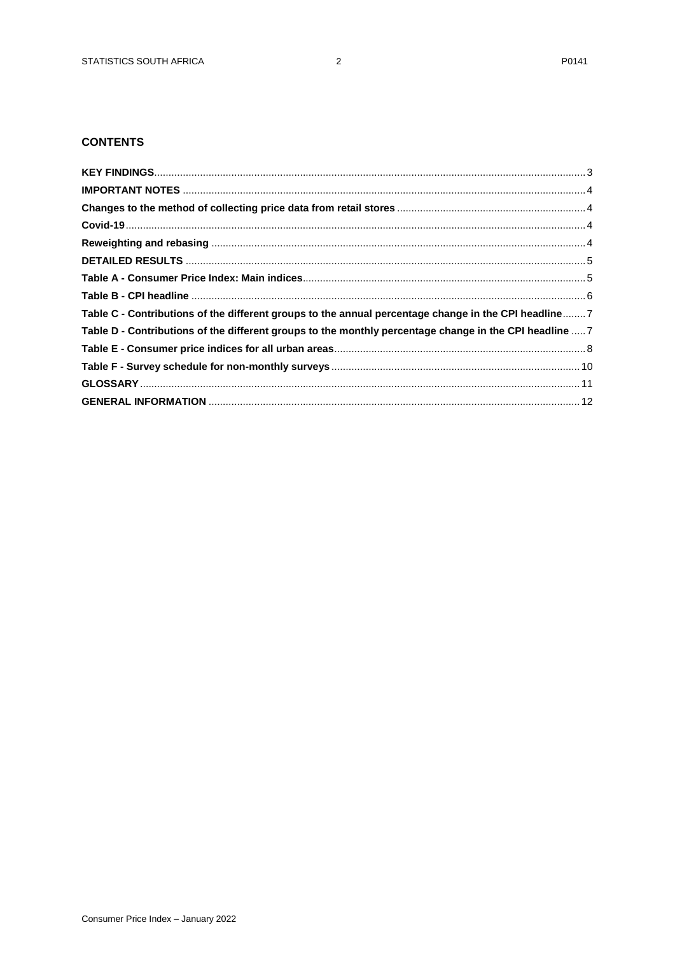## **CONTENTS**

| Table C - Contributions of the different groups to the annual percentage change in the CPI headline 7   |  |
|---------------------------------------------------------------------------------------------------------|--|
| Table D - Contributions of the different groups to the monthly percentage change in the CPI headline  7 |  |
|                                                                                                         |  |
|                                                                                                         |  |
|                                                                                                         |  |
|                                                                                                         |  |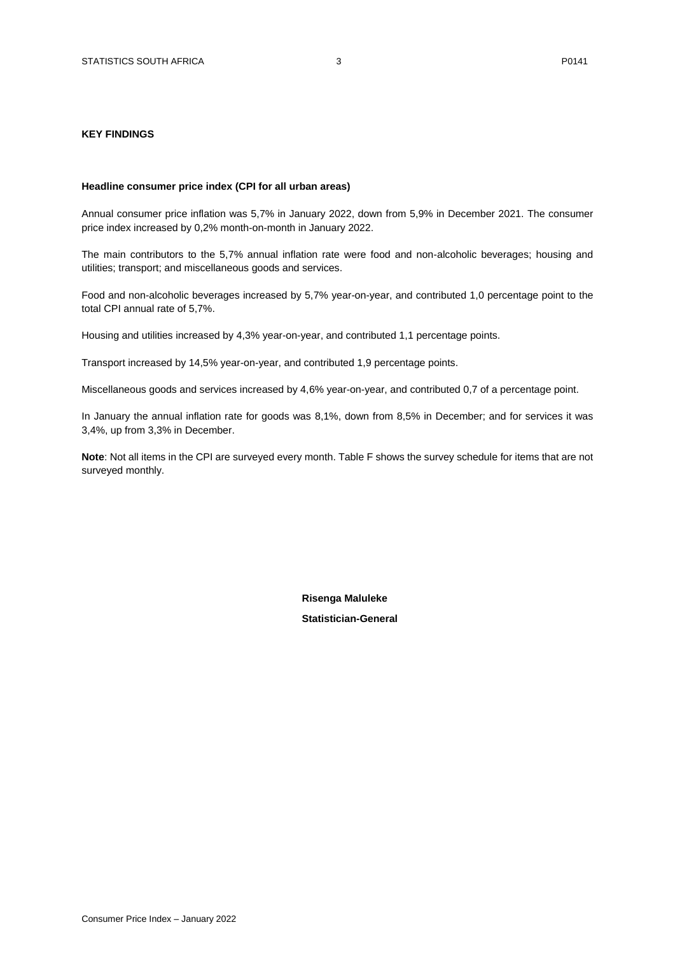#### <span id="page-2-0"></span>**KEY FINDINGS**

#### **Headline consumer price index (CPI for all urban areas)**

Annual consumer price inflation was 5,7% in January 2022, down from 5,9% in December 2021. The consumer price index increased by 0,2% month-on-month in January 2022.

The main contributors to the 5,7% annual inflation rate were food and non-alcoholic beverages; housing and utilities; transport; and miscellaneous goods and services.

Food and non-alcoholic beverages increased by 5,7% year-on-year, and contributed 1,0 percentage point to the total CPI annual rate of 5,7%.

Housing and utilities increased by 4,3% year-on-year, and contributed 1,1 percentage points.

Transport increased by 14,5% year-on-year, and contributed 1,9 percentage points.

Miscellaneous goods and services increased by 4,6% year-on-year, and contributed 0,7 of a percentage point.

In January the annual inflation rate for goods was 8,1%, down from 8,5% in December; and for services it was 3,4%, up from 3,3% in December.

**Note**: Not all items in the CPI are surveyed every month. Table F shows the survey schedule for items that are not surveyed monthly.

> **Risenga Maluleke Statistician-General**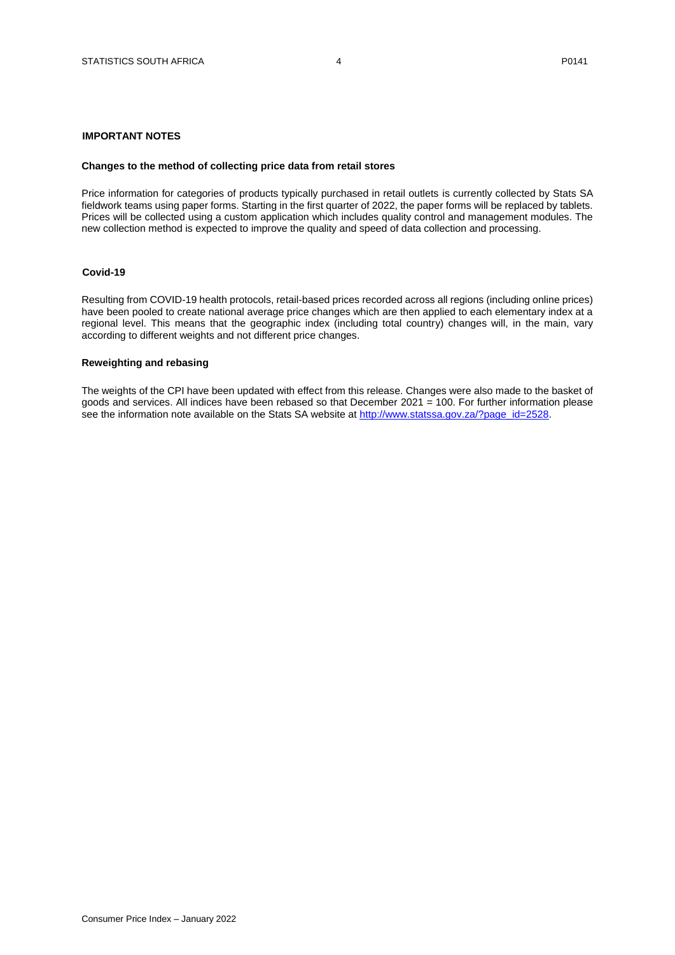#### <span id="page-3-0"></span>**IMPORTANT NOTES**

#### <span id="page-3-1"></span>**Changes to the method of collecting price data from retail stores**

Price information for categories of products typically purchased in retail outlets is currently collected by Stats SA fieldwork teams using paper forms. Starting in the first quarter of 2022, the paper forms will be replaced by tablets. Prices will be collected using a custom application which includes quality control and management modules. The new collection method is expected to improve the quality and speed of data collection and processing.

#### <span id="page-3-2"></span>**Covid-19**

Resulting from COVID-19 health protocols, retail-based prices recorded across all regions (including online prices) have been pooled to create national average price changes which are then applied to each elementary index at a regional level. This means that the geographic index (including total country) changes will, in the main, vary according to different weights and not different price changes.

#### <span id="page-3-3"></span>**Reweighting and rebasing**

The weights of the CPI have been updated with effect from this release. Changes were also made to the basket of goods and services. All indices have been rebased so that December 2021 = 100. For further information please see the information note available on the Stats SA website at [http://www.statssa.gov.za/?page\\_id=2528.](http://www.statssa.gov.za/?page_id=2528)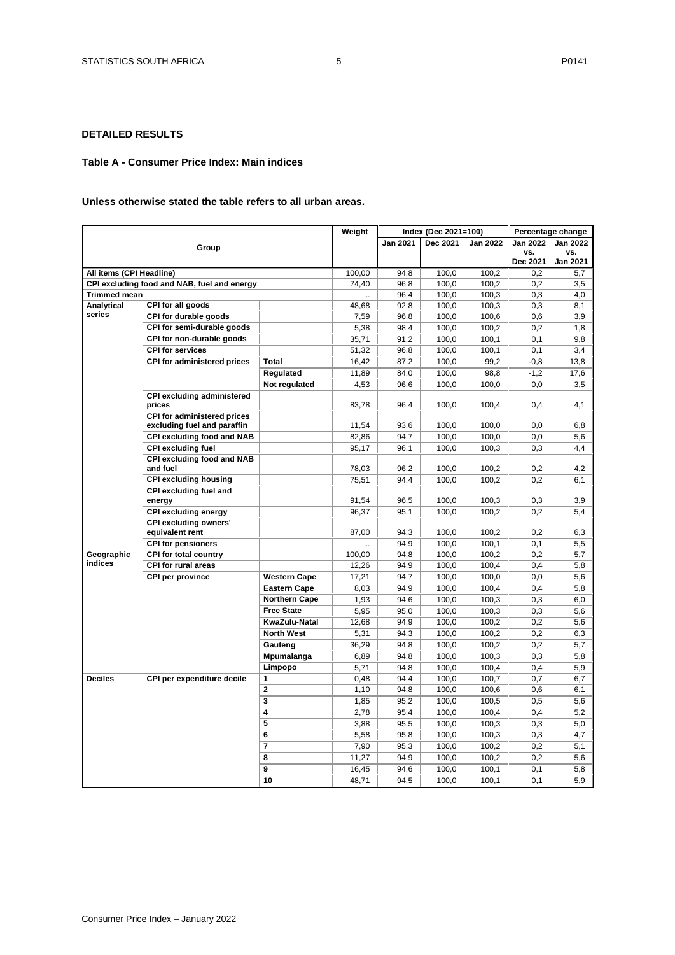## <span id="page-4-0"></span>**DETAILED RESULTS**

#### <span id="page-4-1"></span>**Table A - Consumer Price Index: Main indices**

#### **Unless otherwise stated the table refers to all urban areas.**

|                          |                                                 |                      | Weight |                 | Index (Dec 2021=100) |                 |                 | Percentage change |
|--------------------------|-------------------------------------------------|----------------------|--------|-----------------|----------------------|-----------------|-----------------|-------------------|
|                          |                                                 |                      |        | <b>Jan 2021</b> | Dec 2021             | <b>Jan 2022</b> | <b>Jan 2022</b> | <b>Jan 2022</b>   |
|                          | Group                                           |                      |        |                 |                      |                 | VS.             | VS.               |
|                          |                                                 |                      |        |                 |                      |                 | Dec 2021        | <b>Jan 2021</b>   |
| All items (CPI Headline) |                                                 |                      | 100,00 | 94.8            | 100,0                | 100.2           | 0.2             | 5,7               |
|                          | CPI excluding food and NAB, fuel and energy     |                      | 74,40  | 96,8            | 100,0                | 100,2           | 0,2             | 3,5               |
| <b>Trimmed mean</b>      |                                                 |                      |        | 96,4            | 100,0                | 100,3           | 0,3             | 4,0               |
| Analytical               | CPI for all goods                               |                      | 48,68  | 92,8            | 100,0                | 100,3           | 0,3             | 8,1               |
| series                   | CPI for durable goods                           |                      | 7,59   | 96,8            | 100,0                | 100,6           | 0,6             | 3,9               |
|                          | CPI for semi-durable goods                      |                      | 5,38   | 98,4            | 100,0                | 100,2           | 0,2             | 1,8               |
|                          | CPI for non-durable goods                       |                      | 35,71  | 91,2            | 100,0                | 100,1           | 0,1             | 9,8               |
|                          | <b>CPI for services</b>                         |                      | 51,32  | 96,8            | 100,0                | 100,1           | 0,1             | 3,4               |
|                          | <b>CPI for administered prices</b>              | Total                | 16,42  | 87,2            | 100,0                | 99,2            | $-0,8$          | 13,8              |
|                          |                                                 | Regulated            | 11,89  | 84,0            | 100,0                | 98,8            | $-1,2$          | 17,6              |
|                          |                                                 | Not regulated        | 4,53   | 96,6            | 100,0                | 100,0           | 0,0             | 3,5               |
|                          | <b>CPI excluding administered</b>               |                      |        |                 |                      |                 |                 |                   |
|                          | prices                                          |                      | 83,78  | 96,4            | 100,0                | 100,4           | 0,4             | 4,1               |
|                          | CPI for administered prices                     |                      |        |                 |                      |                 |                 |                   |
|                          | excluding fuel and paraffin                     |                      | 11.54  | 93,6            | 100.0                | 100.0           | 0.0             | 6,8               |
|                          | CPI excluding food and NAB                      |                      | 82,86  | 94,7            | 100,0                | 100,0           | 0, 0            | 5,6               |
|                          | <b>CPI excluding fuel</b>                       |                      | 95,17  | 96,1            | 100,0                | 100,3           | 0,3             | 4,4               |
|                          | <b>CPI excluding food and NAB</b>               |                      |        |                 |                      |                 |                 |                   |
|                          | and fuel                                        |                      | 78,03  | 96,2            | 100,0                | 100,2           | 0,2             | 4,2               |
|                          | <b>CPI excluding housing</b>                    |                      | 75,51  | 94,4            | 100,0                | 100.2           | 0.2             | 6,1               |
|                          | CPI excluding fuel and                          |                      |        |                 |                      |                 |                 |                   |
|                          | energy                                          |                      | 91,54  | 96,5            | 100,0                | 100,3           | 0,3             | 3,9               |
|                          | <b>CPI excluding energy</b>                     |                      | 96,37  | 95,1            | 100,0                | 100,2           | 0,2             | 5,4               |
|                          | <b>CPI excluding owners'</b><br>equivalent rent |                      | 87,00  | 94,3            | 100,0                | 100,2           | 0,2             | 6,3               |
|                          | <b>CPI for pensioners</b>                       |                      |        | 94,9            | 100,0                | 100,1           | 0,1             | 5,5               |
| Geographic               | CPI for total country                           |                      | 100,00 | 94,8            | 100,0                | 100,2           | 0,2             | 5,7               |
| indices                  | <b>CPI for rural areas</b>                      |                      | 12,26  | 94,9            | 100,0                | 100,4           | 0,4             | 5,8               |
|                          | CPI per province                                | <b>Western Cape</b>  | 17,21  | 94,7            | 100,0                | 100,0           | 0,0             | 5,6               |
|                          |                                                 | <b>Eastern Cape</b>  | 8,03   | 94,9            | 100,0                | 100,4           | 0,4             | 5,8               |
|                          |                                                 | <b>Northern Cape</b> |        | 94,6            | 100,0                | 100,3           | 0,3             | 6,0               |
|                          |                                                 | <b>Free State</b>    | 1,93   |                 |                      |                 |                 |                   |
|                          |                                                 | KwaZulu-Natal        | 5,95   | 95,0            | 100,0<br>100,0       | 100,3           | 0,3             | 5,6               |
|                          |                                                 | <b>North West</b>    | 12,68  | 94,9            |                      | 100,2           | 0,2             | 5,6               |
|                          |                                                 |                      | 5,31   | 94,3            | 100,0                | 100,2           | 0,2             | 6,3               |
|                          |                                                 | Gauteng              | 36,29  | 94,8            | 100,0                | 100,2           | 0,2             | 5,7               |
|                          |                                                 | Mpumalanga           | 6,89   | 94,8            | 100,0                | 100,3           | 0,3             | 5,8               |
|                          |                                                 | Limpopo              | 5,71   | 94,8            | 100,0                | 100,4           | 0,4             | 5,9               |
| <b>Deciles</b>           | CPI per expenditure decile                      | 1                    | 0,48   | 94,4            | 100,0                | 100,7           | 0,7             | 6,7               |
|                          |                                                 | $\overline{2}$       | 1,10   | 94,8            | 100,0                | 100,6           | 0,6             | 6,1               |
|                          |                                                 | 3                    | 1,85   | 95,2            | 100,0                | 100,5           | 0,5             | 5,6               |
|                          |                                                 | 4<br>5               | 2,78   | 95,4            | 100,0                | 100,4           | 0,4             | 5,2               |
|                          |                                                 |                      | 3,88   | 95,5            | 100,0                | 100,3           | 0,3             | 5,0               |
|                          |                                                 | 6                    | 5,58   | 95,8            | 100,0                | 100,3           | 0,3             | 4,7               |
|                          |                                                 | 7                    | 7,90   | 95,3            | 100,0                | 100,2           | 0,2             | 5,1               |
|                          |                                                 | 8                    | 11,27  | 94,9            | 100,0                | 100,2           | 0,2             | 5,6               |
|                          |                                                 | 9                    | 16,45  | 94,6            | 100,0                | 100,1           | 0,1             | 5,8               |
|                          |                                                 | 10                   | 48,71  | 94,5            | 100,0                | 100,1           | 0,1             | 5,9               |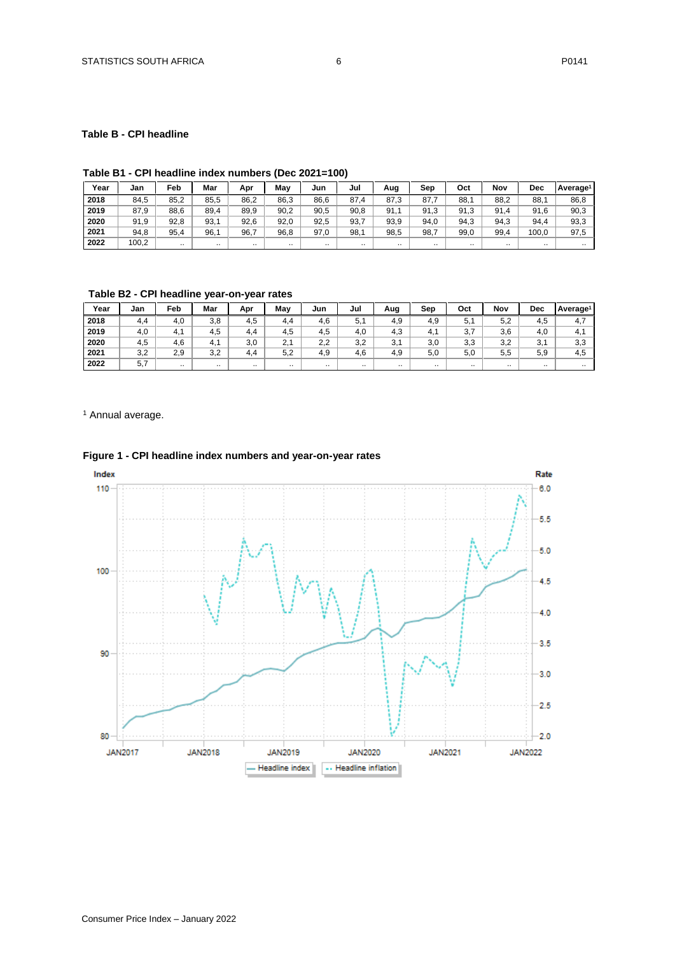## <span id="page-5-0"></span>**Table B - CPI headline**

## **Table B1 - CPI headline index numbers (Dec 2021=100)**

| Year | Jan   | Feb       | Mar  | Apr  | Mav  | Jun  | Jul  | Aug      | Sep       | Oct      | Nov      | <b>Dec</b> | Average <sup>1</sup> |
|------|-------|-----------|------|------|------|------|------|----------|-----------|----------|----------|------------|----------------------|
| 2018 | 84,5  | 85,2      | 85,5 | 86,2 | 86,3 | 86,6 | 87.4 | 87.3     | 87.7      | 88.      | 88,2     | 88.        | 86,8                 |
| 2019 | 87,9  | 88.6      | 89,4 | 89.9 | 90.2 | 90,5 | 90,8 | 91.      | 91.3      | 91,3     | 91<br>.4 | 91.6       | 90,3                 |
| 2020 | 91,9  | 92,8      | 93.  | 92.6 | 92.0 | 92,5 | 93,7 | 93,9     | 94.0      | 94,3     | 94,3     | 94.4       | 93,3                 |
| 2021 | 94,8  | 95,4      | 96.  | 96.7 | 96.8 | 97.0 | 98,1 | 98,5     | 98,7      | 99,0     | 99,4     | 100.0      | 97,5                 |
| 2022 | 100,2 | $\cdot$ . |      |      |      |      |      | $\cdots$ | $\cdot$ . | $\cdots$ |          | $\cdot$ .  |                      |

**Table B2 - CPI headline year-on-year rates**

| Year | Jan | Feb                   | Mar       | Apr | Mav            | Jun | Jul       | Aug | Sep      | Oct      | Nov      | Dec                  | Average <sup>1</sup> |
|------|-----|-----------------------|-----------|-----|----------------|-----|-----------|-----|----------|----------|----------|----------------------|----------------------|
| 2018 | 4.4 | 4.0                   | 3,8       | 4.5 | 4.4            | 4,6 | 5,1       | 4,9 | 4.9      | 5,1      | 5,2      | 4.5                  | 4,7                  |
| 2019 | 4,0 | $\overline{ }$<br>4.1 | 4,5       | 4.4 | 4.5            | 4.5 | 4,0       | 4,3 | 4.       | 27<br>J, | 3,6      | 4,0                  | 4.                   |
| 2020 | 4,5 | 4,6                   | 4.1       | 3,0 | $\Omega$<br>z. | 2,2 | 3,2       | 3,1 | 3,0      | 3,3      | 3,2      | 2 <sub>1</sub><br>J. | 3,3                  |
| 2021 | 3,2 | 2.9                   | 3,2       | 4.4 | 5.2            | 4.9 | 4.6       | 4,9 | 5.0      | 5,0      | 5,5      | 5,9                  | 4.5                  |
| 2022 | 5.7 | $\ddot{\phantom{0}}$  | $\cdot$ . |     | $\cdots$       |     | $\cdot$ . |     | $\cdots$ |          | $\cdots$ | $\ddotsc$            |                      |

<sup>1</sup> Annual average.



## **Figure 1 - CPI headline index numbers and year-on-year rates**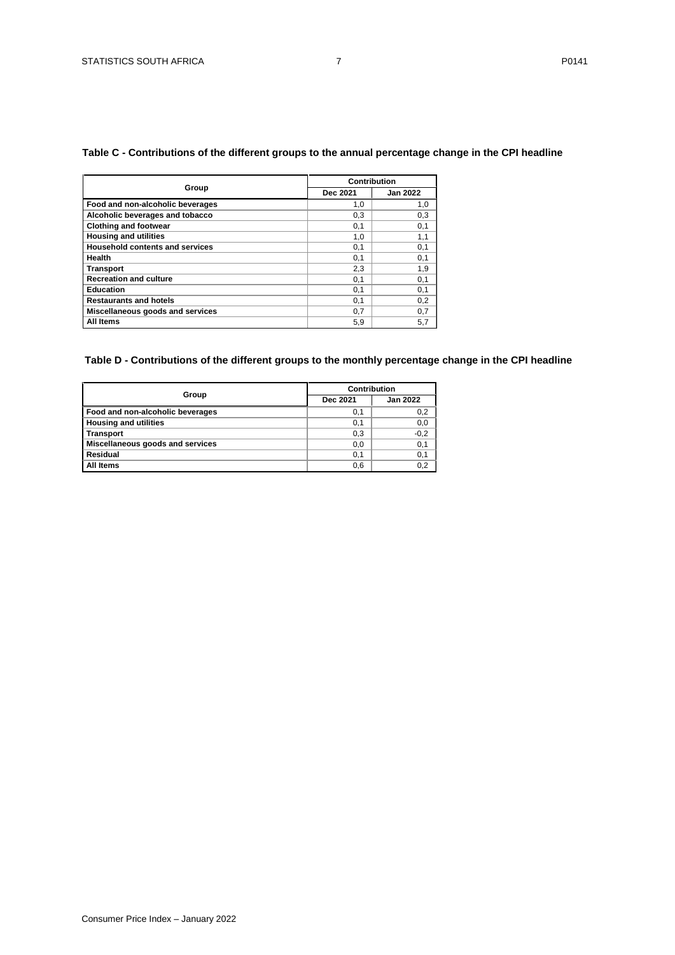## <span id="page-6-0"></span>**Table C - Contributions of the different groups to the annual percentage change in the CPI headline**

|                                        |          | Contribution    |
|----------------------------------------|----------|-----------------|
| Group                                  | Dec 2021 | <b>Jan 2022</b> |
| Food and non-alcoholic beverages       | 1,0      | 1,0             |
| Alcoholic beverages and tobacco        | 0,3      | 0,3             |
| <b>Clothing and footwear</b>           | 0.1      | 0,1             |
| <b>Housing and utilities</b>           | 1,0      | 1,1             |
| <b>Household contents and services</b> | 0,1      | 0,1             |
| Health                                 | 0,1      | 0,1             |
| Transport                              | 2,3      | 1,9             |
| <b>Recreation and culture</b>          | 0,1      | 0,1             |
| Education                              | 0,1      | 0,1             |
| <b>Restaurants and hotels</b>          | 0,1      | 0,2             |
| Miscellaneous goods and services       | 0,7      | 0,7             |
| All Items                              | 5.9      | 5,7             |

## <span id="page-6-1"></span>**Table D - Contributions of the different groups to the monthly percentage change in the CPI headline**

|                                  | Contribution |                 |  |  |  |
|----------------------------------|--------------|-----------------|--|--|--|
| Group                            | Dec 2021     | <b>Jan 2022</b> |  |  |  |
| Food and non-alcoholic beverages | 0,1          | 0,2             |  |  |  |
| <b>Housing and utilities</b>     | 0,1          | 0,0             |  |  |  |
| <b>Transport</b>                 | 0,3          | $-0,2$          |  |  |  |
| Miscellaneous goods and services | 0,0          | 0,1             |  |  |  |
| Residual                         | 0,1          | 0,1             |  |  |  |
| <b>All Items</b>                 | 0,6          | 0,2             |  |  |  |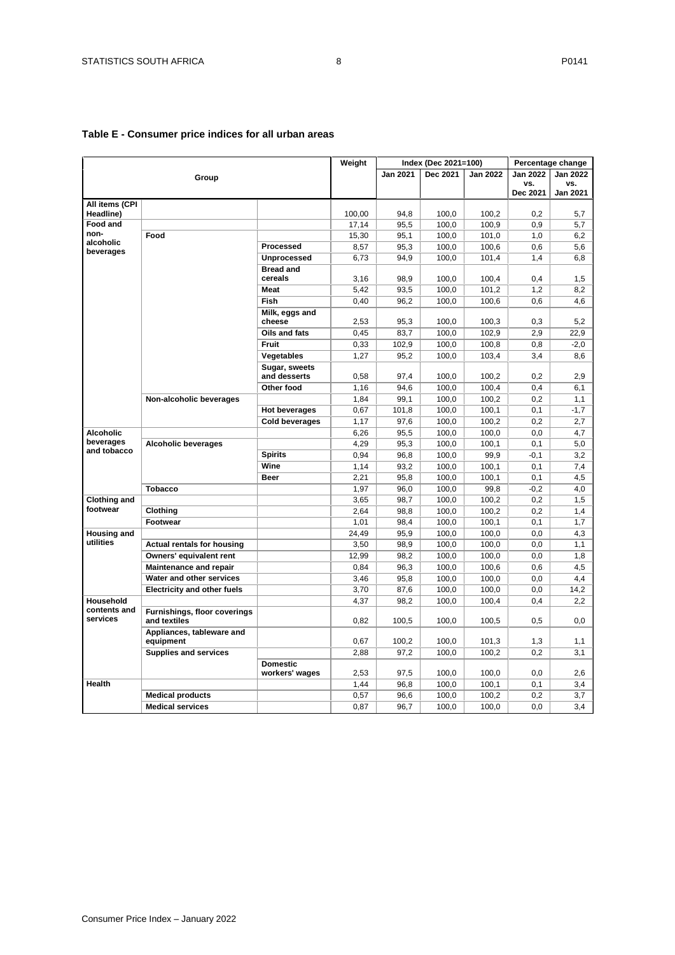|                              |                                              |                       | Weight        |              | Index (Dec 2021=100) |                |                 | Percentage change |
|------------------------------|----------------------------------------------|-----------------------|---------------|--------------|----------------------|----------------|-----------------|-------------------|
|                              |                                              |                       |               | Jan 2021     | Dec 2021             | Jan 2022       | <b>Jan 2022</b> | <b>Jan 2022</b>   |
|                              | Group                                        |                       |               |              |                      |                | VS.             | VS.               |
|                              |                                              |                       |               |              |                      |                | Dec 2021        | <b>Jan 2021</b>   |
| All items (CPI               |                                              |                       |               |              |                      |                |                 |                   |
| Headline)<br><b>Food and</b> |                                              |                       | 100,00        | 94,8         | 100,0<br>100,0       | 100,2          | 0,2             | 5,7               |
| non-                         | Food                                         |                       | 17,14         | 95,5         | 100,0                | 100,9<br>101,0 | 0,9             | 5,7               |
| alcoholic                    |                                              | Processed             | 15,30<br>8,57 | 95,1<br>95,3 | 100,0                | 100,6          | 1,0<br>0.6      | 6,2<br>5,6        |
| beverages                    |                                              | Unprocessed           |               |              |                      |                |                 |                   |
|                              |                                              | <b>Bread and</b>      | 6,73          | 94,9         | 100,0                | 101,4          | 1,4             | 6,8               |
|                              |                                              | cereals               | 3,16          | 98,9         | 100,0                | 100,4          | 0,4             | 1,5               |
|                              |                                              | <b>Meat</b>           | 5,42          | 93,5         | 100,0                | 101,2          | 1,2             | 8,2               |
|                              |                                              | Fish                  | 0,40          | 96,2         | 100,0                | 100,6          | 0,6             | 4,6               |
|                              |                                              | Milk, eggs and        |               |              |                      |                |                 |                   |
|                              |                                              | cheese                | 2,53          | 95,3         | 100,0                | 100,3          | 0,3             | 5,2               |
|                              |                                              | Oils and fats         | 0,45          | 83,7         | 100,0                | 102,9          | 2,9             | 22,9              |
|                              |                                              | <b>Fruit</b>          | 0,33          | 102,9        | 100,0                | 100,8          | 0,8             | $-2,0$            |
|                              |                                              | Vegetables            | 1,27          | 95,2         | 100,0                | 103,4          | 3,4             | 8,6               |
|                              |                                              | Sugar, sweets         |               |              |                      |                |                 |                   |
|                              |                                              | and desserts          | 0,58          | 97,4         | 100,0                | 100,2          | 0,2             | 2,9               |
|                              |                                              | Other food            | 1,16          | 94,6         | 100,0                | 100,4          | 0,4             | 6,1               |
|                              | Non-alcoholic beverages                      |                       | 1,84          | 99,1         | 100,0                | 100,2          | 0,2             | 1,1               |
|                              |                                              | <b>Hot beverages</b>  | 0,67          | 101,8        | 100,0                | 100,1          | 0,1             | $-1,7$            |
|                              |                                              | <b>Cold beverages</b> | 1,17          | 97,6         | 100,0                | 100,2          | 0,2             | 2,7               |
| <b>Alcoholic</b>             |                                              |                       | 6,26          | 95,5         | 100,0                | 100,0          | 0,0             | 4,7               |
| beverages                    | <b>Alcoholic beverages</b>                   |                       | 4,29          | 95,3         | 100,0                | 100,1          | 0,1             | 5,0               |
| and tobacco                  |                                              | <b>Spirits</b>        | 0,94          | 96,8         | 100,0                | 99,9           | $-0,1$          | 3,2               |
|                              |                                              | Wine                  | 1.14          | 93,2         | 100,0                | 100,1          | 0.1             | 7.4               |
|                              |                                              | <b>Beer</b>           | 2,21          | 95,8         | 100,0                | 100,1          | 0,1             | 4,5               |
|                              | <b>Tobacco</b>                               |                       | 1.97          | 96,0         | 100,0                | 99,8           | $-0,2$          | 4,0               |
| <b>Clothing and</b>          |                                              |                       | 3,65          | 98,7         | 100,0                | 100,2          | 0,2             | 1,5               |
| footwear                     | Clothing                                     |                       | 2,64          | 98,8         | 100,0                | 100,2          | 0,2             | 1,4               |
|                              | Footwear                                     |                       | 1,01          | 98,4         | 100,0                | 100,1          | 0,1             | 1,7               |
| <b>Housing and</b>           |                                              |                       | 24,49         | 95,9         | 100,0                | 100,0          | 0,0             | 4,3               |
| utilities                    | <b>Actual rentals for housing</b>            |                       | 3,50          | 98,9         | 100,0                | 100,0          | 0,0             | 1,1               |
|                              | Owners' equivalent rent                      |                       | 12,99         | 98,2         | 100,0                | 100,0          | 0,0             | 1,8               |
|                              | <b>Maintenance and repair</b>                |                       | 0.84          | 96,3         | 100,0                | 100,6          | 0.6             | 4,5               |
|                              | Water and other services                     |                       | 3,46          | 95,8         | 100,0                | 100,0          | 0,0             | 4,4               |
|                              | <b>Electricity and other fuels</b>           |                       | 3,70          | 87,6         | 100,0                | 100,0          | 0,0             | 14,2              |
| Household                    |                                              |                       | 4,37          | 98,2         | 100,0                | 100,4          | 0,4             | 2,2               |
| contents and<br>services     | Furnishings, floor coverings<br>and textiles |                       | 0,82          | 100.5        | 100.0                | 100,5          | 0,5             | 0.0               |
|                              | Appliances, tableware and<br>equipment       |                       | 0,67          | 100,2        | 100,0                | 101,3          | 1,3             | 1,1               |
|                              | <b>Supplies and services</b>                 |                       | 2,88          | 97,2         | 100,0                | 100,2          | 0,2             | 3,1               |
|                              |                                              | <b>Domestic</b>       |               |              |                      |                |                 |                   |
|                              |                                              | workers' wages        | 2,53          | 97,5         | 100,0                | 100,0          | 0,0             | 2,6               |
| Health                       |                                              |                       | 1,44          | 96,8         | 100,0                | 100,1          | 0,1             | 3,4               |
|                              | <b>Medical products</b>                      |                       | 0.57          | 96.6         | 100,0                | 100,2          | 0,2             | 3,7               |
|                              | <b>Medical services</b>                      |                       | 0,87          | 96,7         | 100,0                | 100,0          | 0,0             | 3,4               |

## <span id="page-7-0"></span>**Table E - Consumer price indices for all urban areas**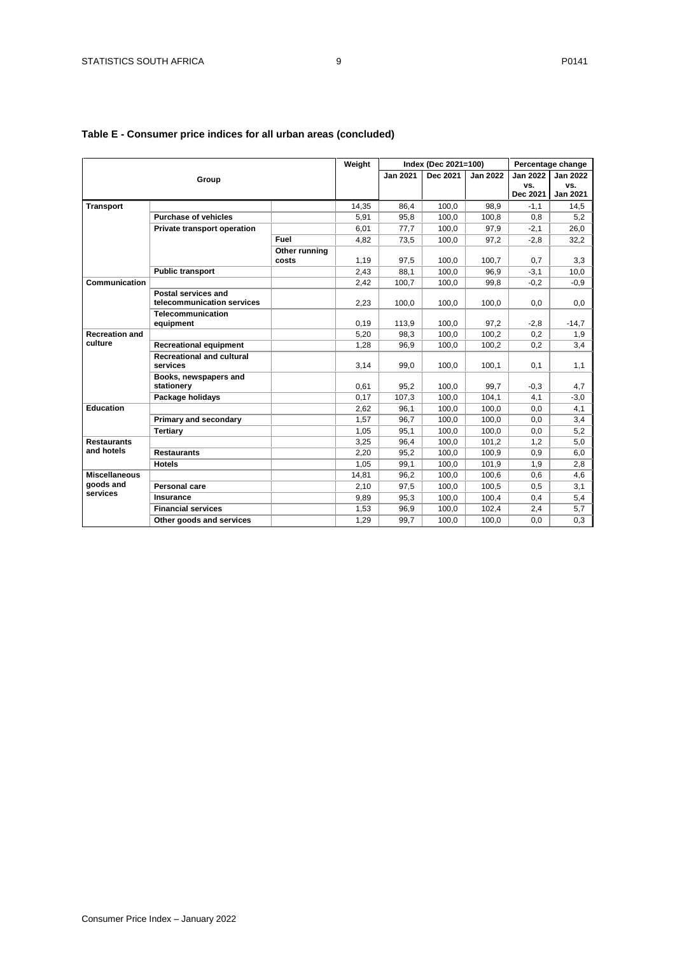|                                               |                                                   |                        | Weight |                 | Index (Dec 2021=100) |                 |                 | Percentage change      |
|-----------------------------------------------|---------------------------------------------------|------------------------|--------|-----------------|----------------------|-----------------|-----------------|------------------------|
|                                               | Group                                             |                        |        | <b>Jan 2021</b> | Dec 2021             | <b>Jan 2022</b> | Jan 2022        | <b>Jan 2022</b>        |
|                                               |                                                   |                        |        |                 |                      |                 | VS.<br>Dec 2021 | VS.<br><b>Jan 2021</b> |
| <b>Transport</b>                              |                                                   |                        | 14,35  | 86,4            | 100,0                | 98,9            | $-1,1$          | 14,5                   |
|                                               | <b>Purchase of vehicles</b>                       |                        | 5,91   | 95,8            | 100,0                | 100,8           | 0,8             | 5,2                    |
|                                               | Private transport operation                       |                        | 6,01   | 77,7            | 100,0                | 97,9            | $-2,1$          | 26,0                   |
|                                               |                                                   | Fuel                   | 4,82   | 73,5            | 100,0                | 97,2            | $-2,8$          | 32,2                   |
|                                               |                                                   | Other running<br>costs | 1,19   | 97,5            | 100.0                | 100.7           | 0,7             | 3,3                    |
|                                               | <b>Public transport</b>                           |                        | 2,43   | 88,1            | 100,0                | 96,9            | $-3,1$          | 10.0                   |
| Communication                                 |                                                   |                        | 2,42   | 100.7           | 100.0                | 99,8            | $-0,2$          | $-0.9$                 |
|                                               | Postal services and<br>telecommunication services |                        | 2.23   | 100.0           | 100.0                | 100.0           | 0,0             | 0,0                    |
|                                               | <b>Telecommunication</b><br>equipment             |                        | 0,19   | 113,9           | 100,0                | 97,2            | $-2,8$          | $-14,7$                |
| <b>Recreation and</b>                         |                                                   |                        | 5.20   | 98.3            | 100,0                | 100.2           | 0,2             | 1,9                    |
| culture                                       | <b>Recreational equipment</b>                     |                        | 1.28   | 96.9            | 100,0                | 100,2           | 0,2             | 3,4                    |
|                                               | <b>Recreational and cultural</b><br>services      |                        | 3,14   | 99,0            | 100,0                | 100,1           | 0,1             | 1,1                    |
|                                               | Books, newspapers and<br>stationery               |                        | 0.61   | 95,2            | 100.0                | 99.7            | $-0,3$          | 4,7                    |
|                                               | Package holidays                                  |                        | 0.17   | 107.3           | 100.0                | 104.1           | 4,1             | $-3,0$                 |
| <b>Education</b>                              |                                                   |                        | 2,62   | 96.1            | 100.0                | 100,0           | 0,0             | 4,1                    |
|                                               | Primary and secondary                             |                        | 1,57   | 96,7            | 100,0                | 100,0           | 0,0             | 3,4                    |
|                                               | <b>Tertiary</b>                                   |                        | 1,05   | 95,1            | 100,0                | 100.0           | 0,0             | 5,2                    |
| <b>Restaurants</b>                            |                                                   |                        | 3,25   | 96.4            | 100.0                | 101.2           | 1,2             | 5,0                    |
| and hotels                                    | <b>Restaurants</b>                                |                        | 2,20   | 95,2            | 100,0                | 100,9           | 0,9             | 6,0                    |
|                                               | <b>Hotels</b>                                     |                        | 1,05   | 99,1            | 100,0                | 101,9           | 1,9             | 2,8                    |
| <b>Miscellaneous</b><br>goods and<br>services |                                                   |                        | 14,81  | 96,2            | 100,0                | 100,6           | 0,6             | 4,6                    |
|                                               | Personal care                                     |                        | 2,10   | 97,5            | 100,0                | 100,5           | 0,5             | 3,1                    |
|                                               | Insurance                                         |                        | 9,89   | 95,3            | 100.0                | 100.4           | 0,4             | 5,4                    |
|                                               | <b>Financial services</b>                         |                        | 1,53   | 96.9            | 100,0                | 102,4           | 2,4             | 5,7                    |
|                                               | Other goods and services                          |                        | 1,29   | 99.7            | 100.0                | 100.0           | 0,0             | 0,3                    |

## **Table E - Consumer price indices for all urban areas (concluded)**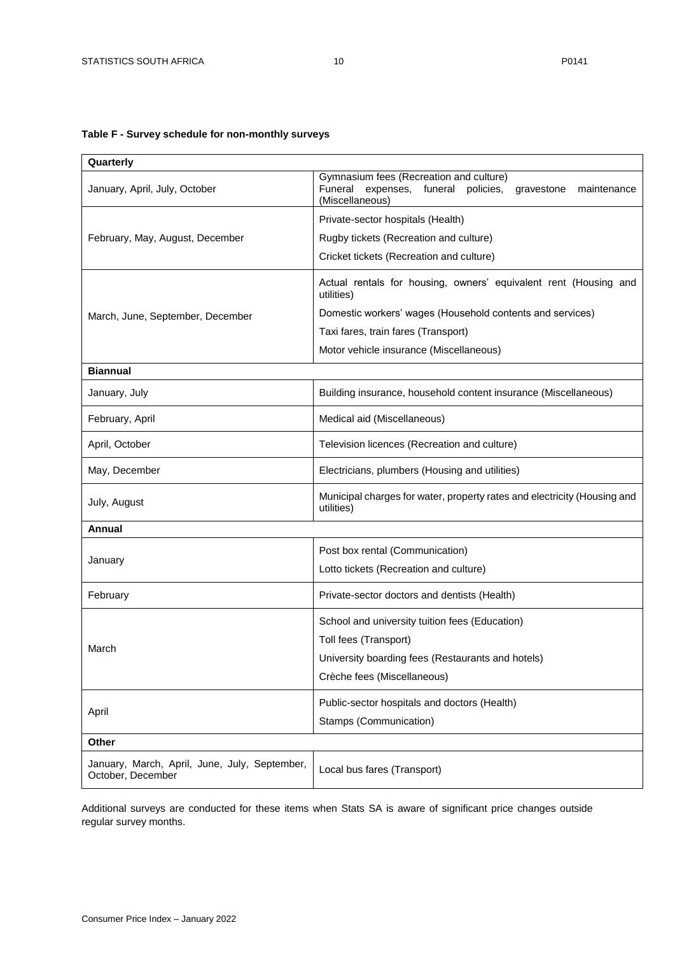## <span id="page-9-0"></span>**Table F - Survey schedule for non-monthly surveys**

| Quarterly                                                          |                                                                                                                                      |  |  |  |  |  |
|--------------------------------------------------------------------|--------------------------------------------------------------------------------------------------------------------------------------|--|--|--|--|--|
| January, April, July, October                                      | Gymnasium fees (Recreation and culture)<br>Funeral<br>expenses, funeral<br>policies,<br>gravestone<br>maintenance<br>(Miscellaneous) |  |  |  |  |  |
|                                                                    | Private-sector hospitals (Health)                                                                                                    |  |  |  |  |  |
| February, May, August, December                                    | Rugby tickets (Recreation and culture)                                                                                               |  |  |  |  |  |
|                                                                    | Cricket tickets (Recreation and culture)                                                                                             |  |  |  |  |  |
|                                                                    | Actual rentals for housing, owners' equivalent rent (Housing and<br>utilities)                                                       |  |  |  |  |  |
| March, June, September, December                                   | Domestic workers' wages (Household contents and services)                                                                            |  |  |  |  |  |
|                                                                    | Taxi fares, train fares (Transport)                                                                                                  |  |  |  |  |  |
|                                                                    | Motor vehicle insurance (Miscellaneous)                                                                                              |  |  |  |  |  |
| <b>Biannual</b>                                                    |                                                                                                                                      |  |  |  |  |  |
| January, July                                                      | Building insurance, household content insurance (Miscellaneous)                                                                      |  |  |  |  |  |
| February, April                                                    | Medical aid (Miscellaneous)                                                                                                          |  |  |  |  |  |
| April, October                                                     | Television licences (Recreation and culture)                                                                                         |  |  |  |  |  |
| May, December                                                      | Electricians, plumbers (Housing and utilities)                                                                                       |  |  |  |  |  |
| July, August                                                       | Municipal charges for water, property rates and electricity (Housing and<br>utilities)                                               |  |  |  |  |  |
| Annual                                                             |                                                                                                                                      |  |  |  |  |  |
|                                                                    | Post box rental (Communication)                                                                                                      |  |  |  |  |  |
| January                                                            | Lotto tickets (Recreation and culture)                                                                                               |  |  |  |  |  |
| February                                                           | Private-sector doctors and dentists (Health)                                                                                         |  |  |  |  |  |
|                                                                    | School and university tuition fees (Education)                                                                                       |  |  |  |  |  |
| March                                                              | Toll fees (Transport)                                                                                                                |  |  |  |  |  |
|                                                                    | University boarding fees (Restaurants and hotels)                                                                                    |  |  |  |  |  |
|                                                                    | Crèche fees (Miscellaneous)                                                                                                          |  |  |  |  |  |
|                                                                    | Public-sector hospitals and doctors (Health)                                                                                         |  |  |  |  |  |
| April                                                              | Stamps (Communication)                                                                                                               |  |  |  |  |  |
| Other                                                              |                                                                                                                                      |  |  |  |  |  |
| January, March, April, June, July, September,<br>October, December | Local bus fares (Transport)                                                                                                          |  |  |  |  |  |

Additional surveys are conducted for these items when Stats SA is aware of significant price changes outside regular survey months.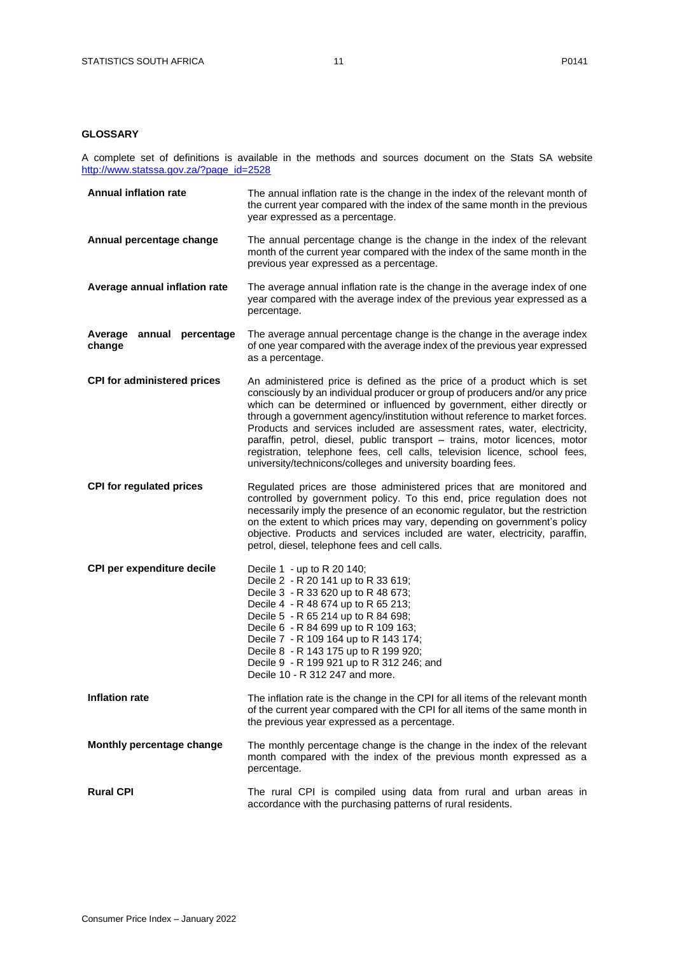### <span id="page-10-0"></span>**GLOSSARY**

A complete set of definitions is available in the methods and sources document on the Stats SA website [http://www.statssa.gov.za/?page\\_id=2528](http://www.statssa.gov.za/?page_id=2528)

| <b>Annual inflation rate</b>        | The annual inflation rate is the change in the index of the relevant month of<br>the current year compared with the index of the same month in the previous<br>year expressed as a percentage.                                                                                                                                                                                                                                                                                                                                                                                                                            |
|-------------------------------------|---------------------------------------------------------------------------------------------------------------------------------------------------------------------------------------------------------------------------------------------------------------------------------------------------------------------------------------------------------------------------------------------------------------------------------------------------------------------------------------------------------------------------------------------------------------------------------------------------------------------------|
| Annual percentage change            | The annual percentage change is the change in the index of the relevant<br>month of the current year compared with the index of the same month in the<br>previous year expressed as a percentage.                                                                                                                                                                                                                                                                                                                                                                                                                         |
| Average annual inflation rate       | The average annual inflation rate is the change in the average index of one<br>year compared with the average index of the previous year expressed as a<br>percentage.                                                                                                                                                                                                                                                                                                                                                                                                                                                    |
| Average annual percentage<br>change | The average annual percentage change is the change in the average index<br>of one year compared with the average index of the previous year expressed<br>as a percentage.                                                                                                                                                                                                                                                                                                                                                                                                                                                 |
| <b>CPI for administered prices</b>  | An administered price is defined as the price of a product which is set<br>consciously by an individual producer or group of producers and/or any price<br>which can be determined or influenced by government, either directly or<br>through a government agency/institution without reference to market forces.<br>Products and services included are assessment rates, water, electricity,<br>paraffin, petrol, diesel, public transport - trains, motor licences, motor<br>registration, telephone fees, cell calls, television licence, school fees,<br>university/technicons/colleges and university boarding fees. |
| <b>CPI for regulated prices</b>     | Regulated prices are those administered prices that are monitored and<br>controlled by government policy. To this end, price regulation does not<br>necessarily imply the presence of an economic regulator, but the restriction<br>on the extent to which prices may vary, depending on government's policy<br>objective. Products and services included are water, electricity, paraffin,<br>petrol, diesel, telephone fees and cell calls.                                                                                                                                                                             |
| CPI per expenditure decile          | Decile 1 - up to R 20 140;<br>Decile 2 - R 20 141 up to R 33 619;<br>Decile 3 - R 33 620 up to R 48 673;<br>Decile 4 - R 48 674 up to R 65 213;<br>Decile 5 - R 65 214 up to R 84 698;<br>Decile 6 - R 84 699 up to R 109 163;<br>Decile 7 - R 109 164 up to R 143 174;<br>Decile 8 - R 143 175 up to R 199 920;<br>Decile 9 - R 199 921 up to R 312 246; and<br>Decile 10 - R 312 247 and more.                                                                                                                                                                                                                          |
| <b>Inflation rate</b>               | The inflation rate is the change in the CPI for all items of the relevant month<br>of the current year compared with the CPI for all items of the same month in<br>the previous year expressed as a percentage.                                                                                                                                                                                                                                                                                                                                                                                                           |
| Monthly percentage change           | The monthly percentage change is the change in the index of the relevant<br>month compared with the index of the previous month expressed as a<br>percentage.                                                                                                                                                                                                                                                                                                                                                                                                                                                             |
| <b>Rural CPI</b>                    | The rural CPI is compiled using data from rural and urban areas in<br>accordance with the purchasing patterns of rural residents.                                                                                                                                                                                                                                                                                                                                                                                                                                                                                         |